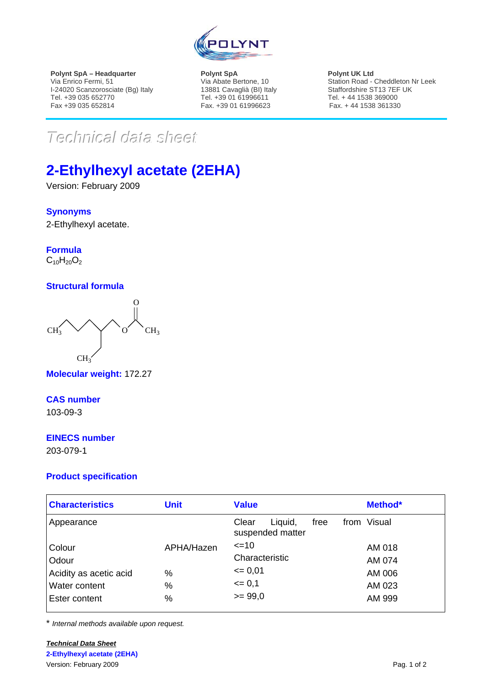

**Polynt SpA – Headquarter**  Via Enrico Fermi, 51 I-24020 Scanzorosciate (Bg) Italy Tel. +39 035 652770 Fax +39 035 652814

**Polynt SpA**  Via Abate Bertone, 10 13881 Cavaglià (BI) Italy Tel. +39 01 61996611 Fax. +39 01 61996623

**Polynt UK Ltd**  Station Road - Cheddleton Nr Leek Staffordshire ST13 7EF UK Tel. + 44 1538 369000 Fax. + 44 1538 361330

 $Technical$ *data* sheett

# **2-Ethylhexyl acetate (2EHA)**

Version: February 2009

## **Synonyms**

2-Ethylhexyl acetate.

**Formula**  $C_{10}H_{20}O_2$ 

## **Structural formula**



**Molecular weight:** 172.27

## **CAS number**

103-09-3

## **EINECS number**

203-079-1

## **Product specification**

| <b>Characteristics</b> | <b>Unit</b>   | <b>Value</b>                                 | Method*     |
|------------------------|---------------|----------------------------------------------|-------------|
| Appearance             |               | Clear<br>free<br>Liquid,<br>suspended matter | from Visual |
| Colour                 | APHA/Hazen    | $\leq$ 10                                    | AM 018      |
| Odour                  |               | Characteristic                               | AM 074      |
| Acidity as acetic acid | $\%$          | $= 0.01$                                     | AM 006      |
| <b>Water content</b>   | $\frac{0}{0}$ | $= 0,1$                                      | AM 023      |
| Ester content          | $\%$          | $>= 99.0$                                    | AM 999      |

\* *Internal methods available upon request.*